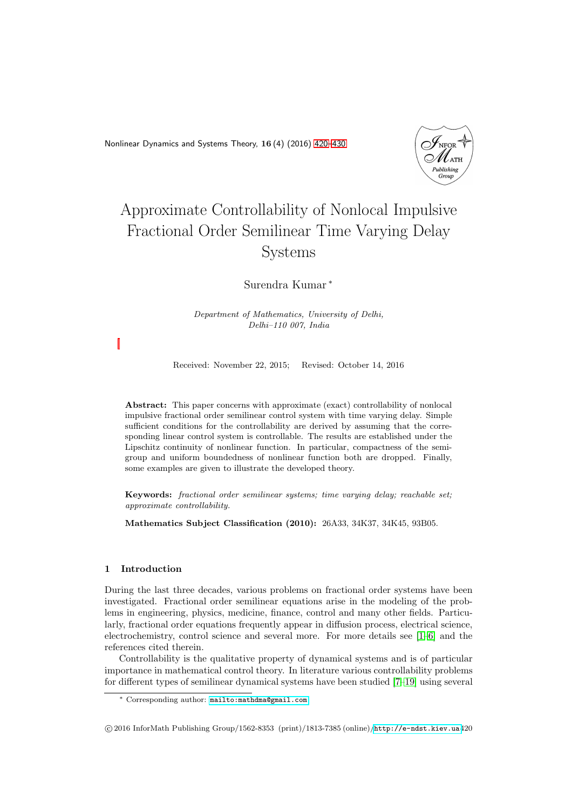<span id="page-0-0"></span>Nonlinear Dynamics and Systems Theory, 16 (4) (2016) [420–](#page-0-0)[430](#page-8-0)



# Approximate Controllability of Nonlocal Impulsive Fractional Order Semilinear Time Varying Delay Systems

Surendra Kumar <sup>∗</sup>

Department of Mathematics, University of Delhi, Delhi–110 007, India

Received: November 22, 2015; Revised: October 14, 2016

Abstract: This paper concerns with approximate (exact) controllability of nonlocal impulsive fractional order semilinear control system with time varying delay. Simple sufficient conditions for the controllability are derived by assuming that the corresponding linear control system is controllable. The results are established under the Lipschitz continuity of nonlinear function. In particular, compactness of the semigroup and uniform boundedness of nonlinear function both are dropped. Finally, some examples are given to illustrate the developed theory.

Keywords: fractional order semilinear systems; time varying delay; reachable set; approximate controllability.

Mathematics Subject Classification (2010): 26A33, 34K37, 34K45, 93B05.

## 1 Introduction

During the last three decades, various problems on fractional order systems have been investigated. Fractional order semilinear equations arise in the modeling of the problems in engineering, physics, medicine, finance, control and many other fields. Particularly, fractional order equations frequently appear in diffusion process, electrical science, electrochemistry, control science and several more. For more details see [\[1–](#page-8-1)[6\]](#page-8-2) and the references cited therein.

Controllability is the qualitative property of dynamical systems and is of particular importance in mathematical control theory. In literature various controllability problems for different types of semilinear dynamical systems have been studied [\[7](#page-8-3)[–19\]](#page-9-0) using several

<sup>∗</sup> Corresponding author: [mailto:mathdma@gmail.com](mailto: mathdma@gmail.com)

c 2016 InforMath Publishing Group/1562-8353 (print)/1813-7385 (online)/<http://e-ndst.kiev.ua>420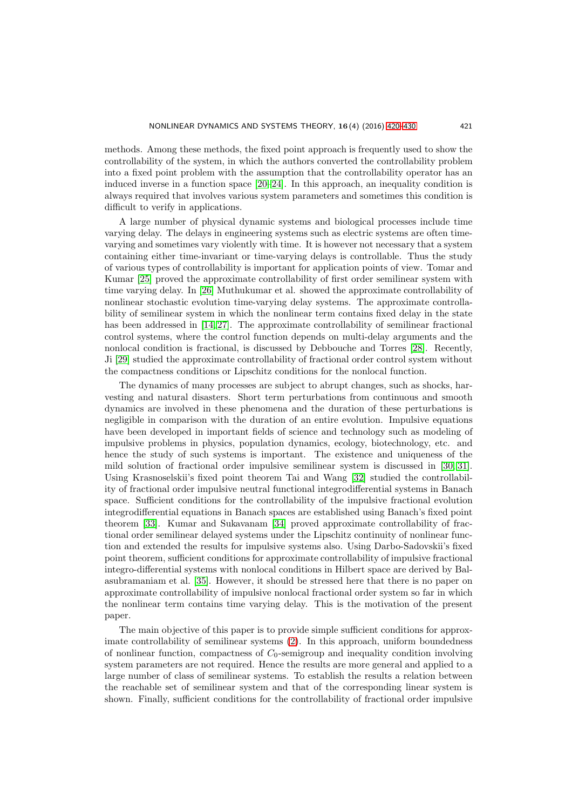methods. Among these methods, the fixed point approach is frequently used to show the controllability of the system, in which the authors converted the controllability problem into a fixed point problem with the assumption that the controllability operator has an induced inverse in a function space [\[20–](#page-9-1)[24\]](#page-9-2). In this approach, an inequality condition is always required that involves various system parameters and sometimes this condition is difficult to verify in applications.

A large number of physical dynamic systems and biological processes include time varying delay. The delays in engineering systems such as electric systems are often timevarying and sometimes vary violently with time. It is however not necessary that a system containing either time-invariant or time-varying delays is controllable. Thus the study of various types of controllability is important for application points of view. Tomar and Kumar [\[25\]](#page-9-3) proved the approximate controllability of first order semilinear system with time varying delay. In [\[26\]](#page-9-4) Muthukumar et al. showed the approximate controllability of nonlinear stochastic evolution time-varying delay systems. The approximate controllability of semilinear system in which the nonlinear term contains fixed delay in the state has been addressed in [\[14,](#page-9-5) [27\]](#page-9-6). The approximate controllability of semilinear fractional control systems, where the control function depends on multi-delay arguments and the nonlocal condition is fractional, is discussed by Debbouche and Torres [\[28\]](#page-9-7). Recently, Ji [\[29\]](#page-10-0) studied the approximate controllability of fractional order control system without the compactness conditions or Lipschitz conditions for the nonlocal function.

The dynamics of many processes are subject to abrupt changes, such as shocks, harvesting and natural disasters. Short term perturbations from continuous and smooth dynamics are involved in these phenomena and the duration of these perturbations is negligible in comparison with the duration of an entire evolution. Impulsive equations have been developed in important fields of science and technology such as modeling of impulsive problems in physics, population dynamics, ecology, biotechnology, etc. and hence the study of such systems is important. The existence and uniqueness of the mild solution of fractional order impulsive semilinear system is discussed in [\[30,](#page-10-1) [31\]](#page-10-2). Using Krasnoselskii's fixed point theorem Tai and Wang [\[32\]](#page-10-3) studied the controllability of fractional order impulsive neutral functional integrodifferential systems in Banach space. Sufficient conditions for the controllability of the impulsive fractional evolution integrodifferential equations in Banach spaces are established using Banach's fixed point theorem [\[33\]](#page-10-4). Kumar and Sukavanam [\[34\]](#page-10-5) proved approximate controllability of fractional order semilinear delayed systems under the Lipschitz continuity of nonlinear function and extended the results for impulsive systems also. Using Darbo-Sadovskii's fixed point theorem, sufficient conditions for approximate controllability of impulsive fractional integro-differential systems with nonlocal conditions in Hilbert space are derived by Balasubramaniam et al. [\[35\]](#page-10-6). However, it should be stressed here that there is no paper on approximate controllability of impulsive nonlocal fractional order system so far in which the nonlinear term contains time varying delay. This is the motivation of the present paper.

The main objective of this paper is to provide simple sufficient conditions for approximate controllability of semilinear systems [\(2\)](#page-2-0). In this approach, uniform boundedness of nonlinear function, compactness of  $C_0$ -semigroup and inequality condition involving system parameters are not required. Hence the results are more general and applied to a large number of class of semilinear systems. To establish the results a relation between the reachable set of semilinear system and that of the corresponding linear system is shown. Finally, sufficient conditions for the controllability of fractional order impulsive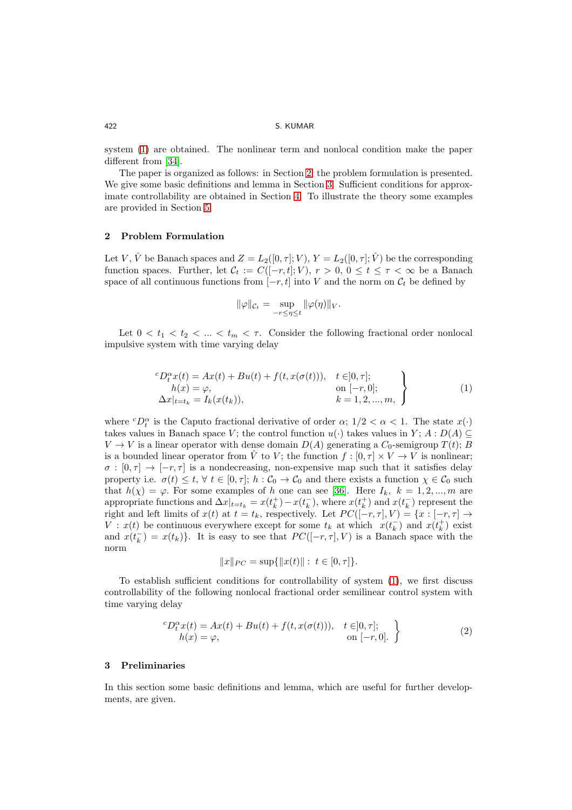system [\(1\)](#page-2-1) are obtained. The nonlinear term and nonlocal condition make the paper different from [\[34\]](#page-10-5).

The paper is organized as follows: in Section [2,](#page-2-2) the problem formulation is presented. We give some basic definitions and lemma in Section [3.](#page-2-3) Sufficient conditions for approximate controllability are obtained in Section [4.](#page-4-0) To illustrate the theory some examples are provided in Section [5.](#page-7-0)

# <span id="page-2-2"></span>2 Problem Formulation

Let V,  $\hat{V}$  be Banach spaces and  $Z = L_2([0, \tau]; V), Y = L_2([0, \tau]; \hat{V})$  be the corresponding function spaces. Further, let  $C_t := C([-r,t]; V), r > 0, 0 \le t \le \tau < \infty$  be a Banach space of all continuous functions from  $[-r, t]$  into V and the norm on  $\mathcal{C}_t$  be defined by

$$
\|\varphi\|_{\mathcal{C}_t} = \sup_{-r \le \eta \le t} \|\varphi(\eta)\|_V.
$$

Let  $0 < t_1 < t_2 < ... < t_m < \tau$ . Consider the following fractional order nonlocal impulsive system with time varying delay

<span id="page-2-1"></span>
$$
{}^{c}D_{t}^{\alpha}x(t) = Ax(t) + Bu(t) + f(t, x(\sigma(t))), \quad t \in ]0, \tau];
$$
  
\n
$$
h(x) = \varphi,
$$
  
\n
$$
\Delta x|_{t=t_k} = I_k(x(t_k)),
$$
  
\n
$$
k = 1, 2, ..., m,
$$
\n(1)

where  ${}^cD_t^{\alpha}$  is the Caputo fractional derivative of order  $\alpha$ ;  $1/2 < \alpha < 1$ . The state  $x(\cdot)$ takes values in Banach space V; the control function  $u(\cdot)$  takes values in Y;  $A: D(A) \subseteq$  $V \to V$  is a linear operator with dense domain  $D(A)$  generating a  $C_0$ -semigroup  $T(t)$ ; B is a bounded linear operator from V to V; the function  $f : [0, \tau] \times V \to V$  is nonlinear;  $\sigma : [0, \tau] \to [-\tau, \tau]$  is a nondecreasing, non-expensive map such that it satisfies delay property i.e.  $\sigma(t) \leq t, \forall t \in [0, \tau]; h : C_0 \to C_0$  and there exists a function  $\chi \in C_0$  such that  $h(\chi) = \varphi$ . For some examples of h one can see [\[36\]](#page-10-7). Here  $I_k$ ,  $k = 1, 2, ..., m$  are appropriate functions and  $\Delta x|_{t=t_k} = x(t_k^+) - x(t_k^-)$ , where  $x(t_k^+)$  and  $x(t_k^-)$  represent the right and left limits of  $x(t)$  at  $t = t_k$ , respectively. Let  $PC([-r, \tau], V) = \{x : [-r, \tau] \to$  $V: x(t)$  be continuous everywhere except for some  $t_k$  at which  $x(t_k^-)$  and  $x(t_k^+)$  exist and  $x(t<sub>k</sub><sup>-</sup>) = x(t<sub>k</sub>)$ . It is easy to see that  $PC([-r, \tau], V)$  is a Banach space with the norm

$$
||x||_{PC} = \sup{||x(t)|| : t \in [0, \tau] }.
$$

To establish sufficient conditions for controllability of system [\(1\)](#page-2-1), we first discuss controllability of the following nonlocal fractional order semilinear control system with time varying delay

<span id="page-2-0"></span>
$$
{}^{c}D_{t}^{\alpha}x(t) = Ax(t) + Bu(t) + f(t, x(\sigma(t))), \quad t \in ]0, \tau];
$$
  
\n
$$
h(x) = \varphi,
$$
\n
$$
(2)
$$

## <span id="page-2-3"></span>3 Preliminaries

In this section some basic definitions and lemma, which are useful for further developments, are given.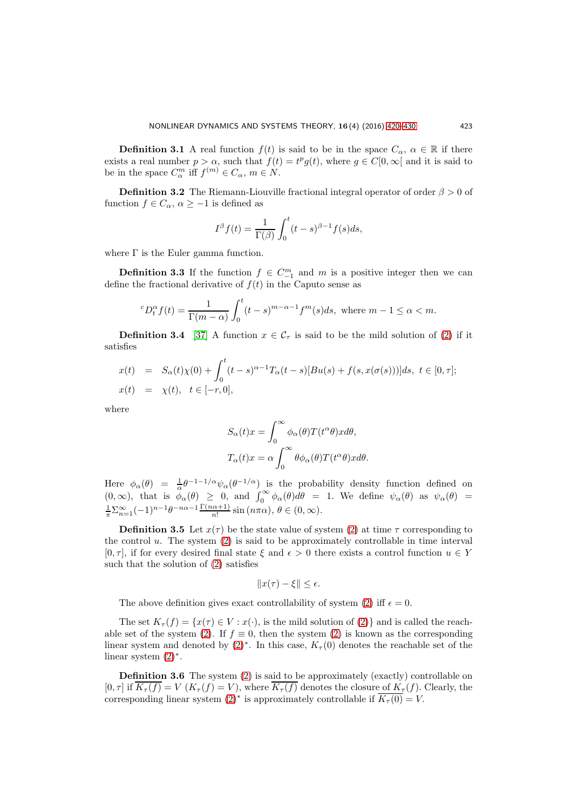**Definition 3.1** A real function  $f(t)$  is said to be in the space  $C_{\alpha}$ ,  $\alpha \in \mathbb{R}$  if there exists a real number  $p > \alpha$ , such that  $f(t) = t^p g(t)$ , where  $g \in C[0, \infty)$  and it is said to be in the space  $C_{\alpha}^{m}$  iff  $f^{(m)} \in C_{\alpha}$ ,  $m \in N$ .

**Definition 3.2** The Riemann-Liouville fractional integral operator of order  $\beta > 0$  of function  $f \in C_\alpha$ ,  $\alpha \geq -1$  is defined as

$$
I^{\beta}f(t) = \frac{1}{\Gamma(\beta)} \int_0^t (t-s)^{\beta-1} f(s)ds,
$$

where  $\Gamma$  is the Euler gamma function.

**Definition 3.3** If the function  $f \in C_{-1}^{m}$  and m is a positive integer then we can define the fractional derivative of  $f(t)$  in the Caputo sense as

$$
{}^{c}D_{t}^{\alpha}f(t) = \frac{1}{\Gamma(m-\alpha)} \int_{0}^{t} (t-s)^{m-\alpha-1} f^{m}(s)ds, \text{ where } m-1 \leq \alpha < m.
$$

**Definition 3.4** [\[37\]](#page-10-8) A function  $x \in \mathcal{C}_{\tau}$  is said to be the mild solution of [\(2\)](#page-2-0) if it satisfies

$$
x(t) = S_{\alpha}(t)\chi(0) + \int_0^t (t-s)^{\alpha-1} T_{\alpha}(t-s)[Bu(s) + f(s, x(\sigma(s)))]ds, \ t \in [0, \tau];
$$
  

$$
x(t) = \chi(t), \ t \in [-r, 0],
$$

where

$$
S_{\alpha}(t)x = \int_0^{\infty} \phi_{\alpha}(\theta)T(t^{\alpha}\theta)xd\theta,
$$
  

$$
T_{\alpha}(t)x = \alpha \int_0^{\infty} \theta \phi_{\alpha}(\theta)T(t^{\alpha}\theta)xd\theta.
$$

Here  $\phi_{\alpha}(\theta) = \frac{1}{\alpha} \theta^{-1-1/\alpha} \psi_{\alpha}(\theta^{-1/\alpha})$  is the probability density function defined on  $(0, \infty)$ , that is  $\phi_{\alpha}(\theta) \geq 0$ , and  $\int_0^{\infty} \phi_{\alpha}(\theta) d\theta = 1$ . We define  $\psi_{\alpha}(\theta)$  as  $\psi_{\alpha}(\theta) =$  $\frac{1}{\pi} \sum_{n=1}^{\infty} (-1)^{n-1} \theta^{-n\alpha-1} \frac{\Gamma(n\alpha+1)}{n!} \sin(n\pi\alpha), \theta \in (0, \infty).$ 

**Definition 3.5** Let  $x(\tau)$  be the state value of system [\(2\)](#page-2-0) at time  $\tau$  corresponding to the control  $u$ . The system  $(2)$  is said to be approximately controllable in time interval  $[0, \tau]$ , if for every desired final state  $\xi$  and  $\epsilon > 0$  there exists a control function  $u \in Y$ such that the solution of [\(2\)](#page-2-0) satisfies

$$
||x(\tau) - \xi|| \le \epsilon.
$$

The above definition gives exact controllability of system [\(2\)](#page-2-0) iff  $\epsilon = 0$ .

The set  $K_{\tau}(f) = \{x(\tau) \in V : x(\cdot), \text{ is the mild solution of (2)}\}$  $K_{\tau}(f) = \{x(\tau) \in V : x(\cdot), \text{ is the mild solution of (2)}\}$  $K_{\tau}(f) = \{x(\tau) \in V : x(\cdot), \text{ is the mild solution of (2)}\}$  and is called the reach-able set of the system [\(2\)](#page-2-0). If  $f \equiv 0$ , then the system (2) is known as the corresponding linear system and denoted by  $(2)^*$ . In this case,  $K_{\tau}(0)$  denotes the reachable set of the linear system [\(2\)](#page-2-0)<sup>∗</sup> .

Definition 3.6 The system [\(2\)](#page-2-0) is said to be approximately (exactly) controllable on  $[0, \tau]$  if  $\overline{K_{\tau}(f)} = V(K_{\tau}(f) = V)$ , where  $\overline{K_{\tau}(f)}$  denotes the closure of  $K_{\tau}(f)$ . Clearly, the corresponding linear system  $(2)^*$  is approximately controllable if  $\overline{K_{\tau}(0)} = V$ .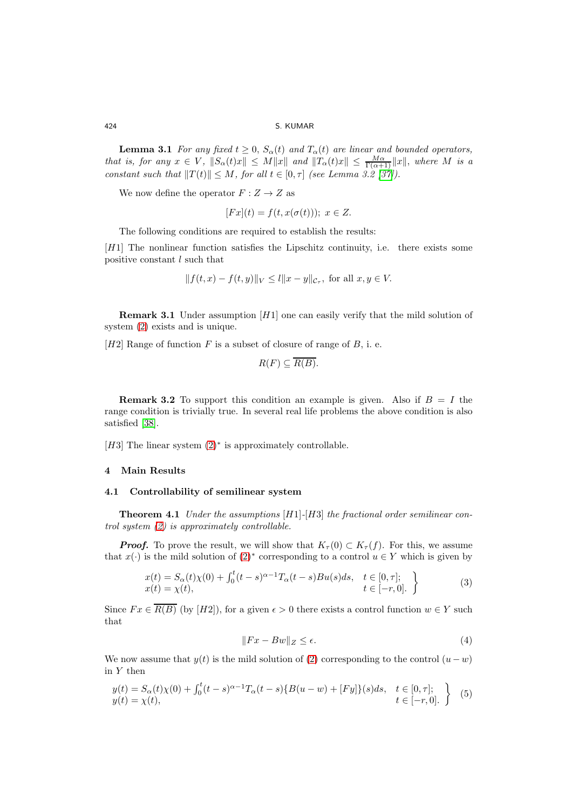**Lemma 3.1** For any fixed  $t \geq 0$ ,  $S_{\alpha}(t)$  and  $T_{\alpha}(t)$  are linear and bounded operators, that is, for any  $x \in V$ ,  $||S_{\alpha}(t)x|| \leq M||x||$  and  $||T_{\alpha}(t)x|| \leq \frac{M\alpha}{\Gamma(\alpha+1)}||x||$ , where M is a constant such that  $||T(t)|| \leq M$ , for all  $t \in [0, \tau]$  (see Lemma 3.2 [\[37\]](#page-10-8)).

We now define the operator  $F: Z \to Z$  as

$$
[Fx](t) = f(t, x(\sigma(t))), \ x \in Z.
$$

The following conditions are required to establish the results:

[H1] The nonlinear function satisfies the Lipschitz continuity, i.e. there exists some positive constant l such that

$$
|| f(t, x) - f(t, y)||_V \leq l||x - y||_{\mathcal{C}_{\tau}},
$$
 for all  $x, y \in V$ .

**Remark 3.1** Under assumption  $[H1]$  one can easily verify that the mild solution of system [\(2\)](#page-2-0) exists and is unique.

[H2] Range of function  $F$  is a subset of closure of range of  $B$ , i. e.

$$
R(F) \subseteq \overline{R(B)}.
$$

**Remark 3.2** To support this condition an example is given. Also if  $B = I$  the range condition is trivially true. In several real life problems the above condition is also satisfied [\[38\]](#page-10-9).

[H3] The linear system  $(2)$ <sup>\*</sup> is approximately controllable.

# <span id="page-4-0"></span>4 Main Results

# 4.1 Controllability of semilinear system

<span id="page-4-4"></span>**Theorem 4.1** Under the assumptions  $[H1]-[H3]$  the fractional order semilinear control system [\(2\)](#page-2-0) is approximately controllable.

**Proof.** To prove the result, we will show that  $K_{\tau}(0) \subset K_{\tau}(f)$ . For this, we assume that  $x(\cdot)$  is the mild solution of  $(2)^*$  corresponding to a control  $u \in Y$  which is given by

<span id="page-4-1"></span>
$$
x(t) = S_{\alpha}(t)\chi(0) + \int_0^t (t-s)^{\alpha-1} T_{\alpha}(t-s)Bu(s)ds, \quad t \in [0, \tau];
$$
  
\n
$$
x(t) = \chi(t), \qquad t \in [-r, 0].
$$
\n(3)

Since  $Fx \in \overline{R(B)}$  (by [H2]), for a given  $\epsilon > 0$  there exists a control function  $w \in Y$  such that

<span id="page-4-3"></span>
$$
||Fx - Bw||_Z \le \epsilon. \tag{4}
$$

We now assume that  $y(t)$  is the mild solution of [\(2\)](#page-2-0) corresponding to the control  $(u - w)$ in  $Y$  then

<span id="page-4-2"></span>
$$
y(t) = S_{\alpha}(t)\chi(0) + \int_0^t (t-s)^{\alpha-1} T_{\alpha}(t-s) \{B(u-w) + [Fy]\}(s) ds, \quad t \in [0, \tau];
$$
  

$$
y(t) = \chi(t), \qquad t \in [-r, 0].
$$
 (5)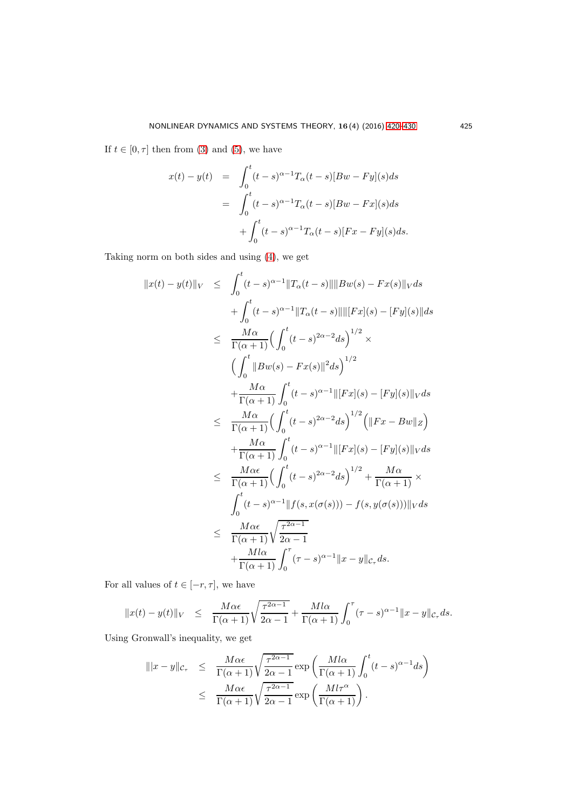If  $t \in [0, \tau]$  then from [\(3\)](#page-4-1) and [\(5\)](#page-4-2), we have

$$
x(t) - y(t) = \int_0^t (t - s)^{\alpha - 1} T_\alpha(t - s) [Bw - Fy](s) ds
$$
  

$$
= \int_0^t (t - s)^{\alpha - 1} T_\alpha(t - s) [Bw - Fx](s) ds
$$
  

$$
+ \int_0^t (t - s)^{\alpha - 1} T_\alpha(t - s) [Fx - Fy](s) ds.
$$

Taking norm on both sides and using [\(4\)](#page-4-3), we get

$$
||x(t) - y(t)||_V \leq \int_0^t (t-s)^{\alpha-1} ||T_{\alpha}(t-s)|| ||Bw(s) - Fx(s)||_V ds
$$
  
+ 
$$
\int_0^t (t-s)^{\alpha-1} ||T_{\alpha}(t-s)|| ||[Fx](s) - [Fy](s)|| ds
$$
  

$$
\leq \frac{M\alpha}{\Gamma(\alpha+1)} \Big( \int_0^t (t-s)^{2\alpha-2} ds \Big)^{1/2} \times
$$
  

$$
\Big( \int_0^t ||Bw(s) - Fx(s)||^2 ds \Big)^{1/2}
$$
  
+ 
$$
\frac{M\alpha}{\Gamma(\alpha+1)} \int_0^t (t-s)^{\alpha-1} ||[Fx](s) - [Fy](s)||_V ds
$$
  

$$
\leq \frac{M\alpha}{\Gamma(\alpha+1)} \Big( \int_0^t (t-s)^{2\alpha-2} ds \Big)^{1/2} \Big( ||Fx - Bw||_Z \Big)
$$
  
+ 
$$
\frac{M\alpha}{\Gamma(\alpha+1)} \int_0^t (t-s)^{\alpha-1} ||[Fx](s) - [Fy](s)||_V ds
$$
  

$$
\leq \frac{M\alpha\epsilon}{\Gamma(\alpha+1)} \Big( \int_0^t (t-s)^{2\alpha-2} ds \Big)^{1/2} + \frac{M\alpha}{\Gamma(\alpha+1)} \times
$$
  

$$
\int_0^t (t-s)^{\alpha-1} ||f(s, x(\sigma(s))) - f(s, y(\sigma(s)))||_V ds
$$
  

$$
\leq \frac{M\alpha\epsilon}{\Gamma(\alpha+1)} \sqrt{\frac{\tau^{2\alpha-1}}{2\alpha-1}}
$$
  
+ 
$$
\frac{Ml\alpha}{\Gamma(\alpha+1)} \int_0^{\tau} (\tau - s)^{\alpha-1} ||x - y||_{\mathcal{C}_{\tau}} ds.
$$

For all values of  $t\in[-r,\tau],$  we have

$$
||x(t) - y(t)||_V \le \frac{M\alpha\epsilon}{\Gamma(\alpha+1)} \sqrt{\frac{\tau^{2\alpha-1}}{2\alpha-1}} + \frac{Ml\alpha}{\Gamma(\alpha+1)} \int_0^\tau (\tau - s)^{\alpha-1} ||x - y||_{\mathcal{C}_\tau} ds.
$$

Using Gronwall's inequality, we get

$$
\begin{array}{rcl}\n\|x-y\|_{\mathcal{C}_{\tau}} & \leq & \dfrac{M\alpha\epsilon}{\Gamma(\alpha+1)} \sqrt{\dfrac{\tau^{2\alpha-1}}{2\alpha-1}} \exp\left(\dfrac{Ml\alpha}{\Gamma(\alpha+1)} \int_0^t (t-s)^{\alpha-1} ds\right) \\
& \leq & \dfrac{M\alpha\epsilon}{\Gamma(\alpha+1)} \sqrt{\dfrac{\tau^{2\alpha-1}}{2\alpha-1}} \exp\left(\dfrac{Ml\tau^{\alpha}}{\Gamma(\alpha+1)}\right).\n\end{array}
$$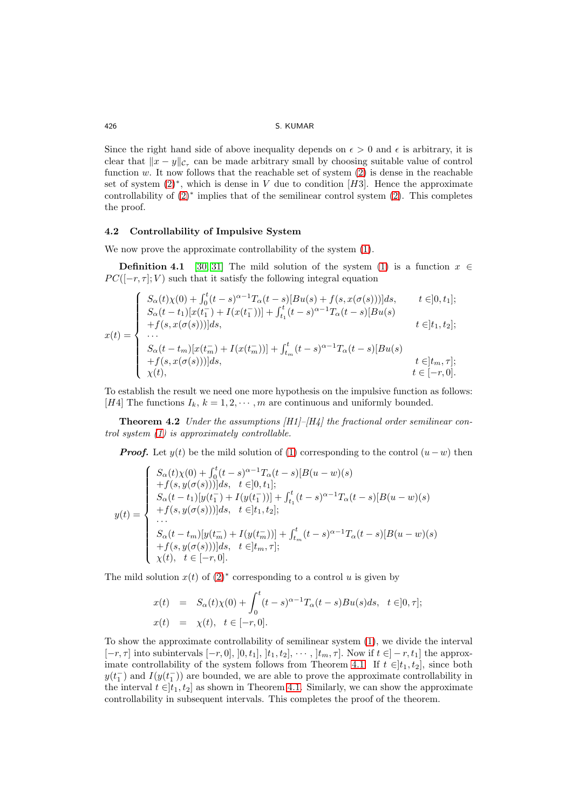Since the right hand side of above inequality depends on  $\epsilon > 0$  and  $\epsilon$  is arbitrary, it is clear that  $||x - y||_{\mathcal{C}_{\tau}}$  can be made arbitrary small by choosing suitable value of control function  $w$ . It now follows that the reachable set of system  $(2)$  is dense in the reachable set of system  $(2)$ <sup>\*</sup>, which is dense in V due to condition [H3]. Hence the approximate controllability of [\(2\)](#page-2-0)<sup>∗</sup> implies that of the semilinear control system [\(2\)](#page-2-0). This completes the proof.

# 4.2 Controllability of Impulsive System

We now prove the approximate controllability of the system  $(1)$ .

**Definition 4.1** [\[30,](#page-10-1) [31\]](#page-10-2) The mild solution of the system [\(1\)](#page-2-1) is a function  $x \in \mathbb{R}$  $PC([-r, \tau]; V)$  such that it satisfy the following integral equation

$$
x(t) = \begin{cases} S_{\alpha}(t)\chi(0) + \int_{0}^{t} (t-s)^{\alpha-1} T_{\alpha}(t-s)[Bu(s) + f(s, x(\sigma(s)))]ds, & t \in ]0, t_{1}]; \\ S_{\alpha}(t-t_{1})[x(t_{1}^{-}) + I(x(t_{1}^{-}))] + \int_{t_{1}}^{t} (t-s)^{\alpha-1} T_{\alpha}(t-s)[Bu(s) \\ + f(s, x(\sigma(s)))]ds, & t \in ]t_{1}, t_{2}]; \\ \dots \\ S_{\alpha}(t-t_{m})[x(t_{m}^{-}) + I(x(t_{m}^{-}))] + \int_{t_{m}}^{t} (t-s)^{\alpha-1} T_{\alpha}(t-s)[Bu(s) \\ + f(s, x(\sigma(s)))]ds, & t \in ]t_{m}, \tau]; \\ \chi(t), & t \in [-r, 0]. \end{cases}
$$

<span id="page-6-0"></span>To establish the result we need one more hypothesis on the impulsive function as follows: [H4] The functions  $I_k$ ,  $k = 1, 2, \dots, m$  are continuous and uniformly bounded.

**Theorem 4.2** Under the assumptions  $|H1|$ – $|H_4|$  the fractional order semilinear control system [\(1\)](#page-2-1) is approximately controllable.

**Proof.** Let  $y(t)$  be the mild solution of [\(1\)](#page-2-1) corresponding to the control  $(u-w)$  then

$$
y(t) = \begin{cases} S_{\alpha}(t)\chi(0) + \int_{0}^{t} (t-s)^{\alpha-1} T_{\alpha}(t-s)[B(u-w)(s) \\ + f(s, y(\sigma(s)))]ds, & t \in ]0, t_1]; \\ S_{\alpha}(t-t_1)[y(t_1^-) + I(y(t_1^-))] + \int_{t_1}^{t} (t-s)^{\alpha-1} T_{\alpha}(t-s)[B(u-w)(s) \\ + f(s, y(\sigma(s)))]ds, & t \in ]t_1, t_2]; \\ \dots \\ S_{\alpha}(t-t_m)[y(t_m^-) + I(y(t_m^-))] + \int_{t_m}^{t} (t-s)^{\alpha-1} T_{\alpha}(t-s)[B(u-w)(s) \\ + f(s, y(\sigma(s)))]ds, & t \in ]t_m, \tau]; \\ \chi(t), & t \in [-r, 0]. \end{cases}
$$

The mild solution  $x(t)$  of  $(2)^*$  corresponding to a control u is given by

$$
x(t) = S_{\alpha}(t)\chi(0) + \int_0^t (t-s)^{\alpha-1} T_{\alpha}(t-s)Bu(s)ds, \quad t \in ]0, \tau];
$$
  

$$
x(t) = \chi(t), \quad t \in [-r, 0].
$$

To show the approximate controllability of semilinear system [\(1\)](#page-2-1), we divide the interval  $[-r, \tau]$  into subintervals  $[-r, 0], [0, t_1], [t_1, t_2], \cdots, [t_m, \tau]$ . Now if  $t \in ]-r, t_1]$  the approx-imate controllability of the system follows from Theorem [4.1.](#page-4-4) If  $t \in ]t_1, t_2]$ , since both  $y(t_1^-)$  and  $I(y(t_1^-))$  are bounded, we are able to prove the approximate controllability in the interval  $t \in [t_1, t_2]$  as shown in Theorem [4.1.](#page-4-4) Similarly, we can show the approximate controllability in subsequent intervals. This completes the proof of the theorem.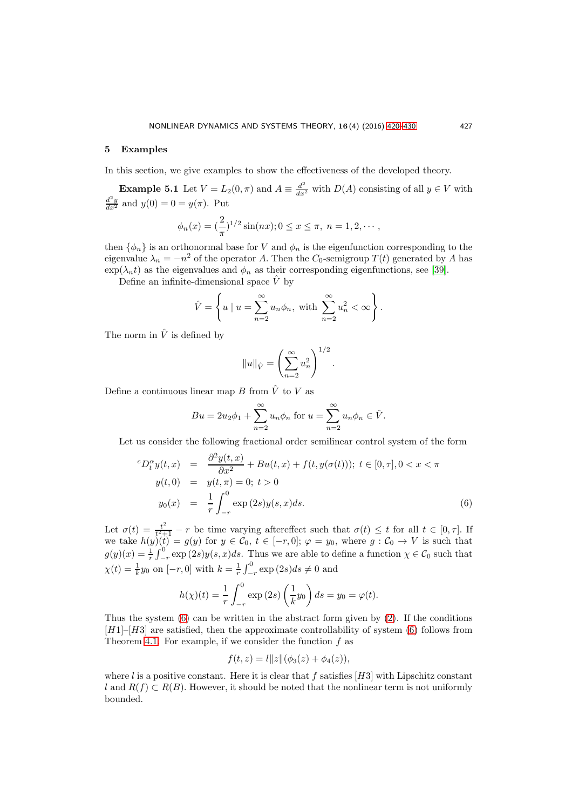## <span id="page-7-0"></span>5 Examples

In this section, we give examples to show the effectiveness of the developed theory.

**Example 5.1** Let  $V = L_2(0, \pi)$  and  $A \equiv \frac{d^2}{dx^2}$  with  $D(A)$  consisting of all  $y \in V$  with  $\frac{d^2y}{dx^2}$  and  $y(0) = 0 = y(\pi)$ . Put

$$
\phi_n(x) = \left(\frac{2}{\pi}\right)^{1/2} \sin(nx); 0 \le x \le \pi, n = 1, 2, \cdots,
$$

then  $\{\phi_n\}$  is an orthonormal base for V and  $\phi_n$  is the eigenfunction corresponding to the eigenvalue  $\lambda_n = -n^2$  of the operator A. Then the  $C_0$ -semigroup  $T(t)$  generated by A has  $\exp(\lambda_n t)$  as the eigenvalues and  $\phi_n$  as their corresponding eigenfunctions, see [\[39\]](#page-10-10).

Define an infinite-dimensional space  $\hat{V}$  by

$$
\hat{V} = \left\{ u \mid u = \sum_{n=2}^{\infty} u_n \phi_n, \text{ with } \sum_{n=2}^{\infty} u_n^2 < \infty \right\}.
$$

The norm in  $\hat{V}$  is defined by

$$
||u||_{\hat{V}} = \left(\sum_{n=2}^{\infty} u_n^2\right)^{1/2}.
$$

Define a continuous linear map B from  $\hat{V}$  to V as

$$
Bu = 2u_2\phi_1 + \sum_{n=2}^{\infty} u_n \phi_n
$$
 for  $u = \sum_{n=2}^{\infty} u_n \phi_n \in \hat{V}$ .

Let us consider the following fractional order semilinear control system of the form

<span id="page-7-1"></span>
$$
{}^{c}D_{t}^{\alpha}y(t,x) = \frac{\partial^{2}y(t,x)}{\partial x^{2}} + Bu(t,x) + f(t,y(\sigma(t))); t \in [0,\tau], 0 < x < \pi
$$
  

$$
y(t,0) = y(t,\pi) = 0; t > 0
$$
  

$$
y_{0}(x) = \frac{1}{r} \int_{-r}^{0} \exp(2s)y(s,x)ds.
$$
 (6)

Let  $\sigma(t) = \frac{t^2}{t^2 + t^2}$  $\frac{t^2}{t^2+1} - r$  be time varying after ffect such that  $\sigma(t) \leq t$  for all  $t \in [0, \tau]$ . If we take  $h(y)(t) = g(y)$  for  $y \in C_0$ ,  $t \in [-r, 0]; \varphi = y_0$ , where  $g : C_0 \to V$  is such that  $g(y)(x) = \frac{1}{r} \int_{-r}^{0} \exp(2s)y(s, x)ds$ . Thus we are able to define a function  $\chi \in \mathcal{C}_0$  such that  $\chi(t) = \frac{1}{k}y_0$  on  $[-r, 0]$  with  $k = \frac{1}{r} \int_{-r}^{0} \exp(2s)ds \neq 0$  and

$$
h(\chi)(t) = \frac{1}{r} \int_{-r}^{0} \exp(2s) \left(\frac{1}{k}y_0\right) ds = y_0 = \varphi(t).
$$

Thus the system  $(6)$  can be written in the abstract form given by  $(2)$ . If the conditions  $[H1]-[H3]$  are satisfied, then the approximate controllability of system [\(6\)](#page-7-1) follows from Theorem [4.1.](#page-4-4) For example, if we consider the function  $f$  as

$$
f(t, z) = l||z||(\phi_3(z) + \phi_4(z)),
$$

where l is a positive constant. Here it is clear that f satisfies  $[H3]$  with Lipschitz constant l and  $R(f) \subset R(B)$ . However, it should be noted that the nonlinear term is not uniformly bounded.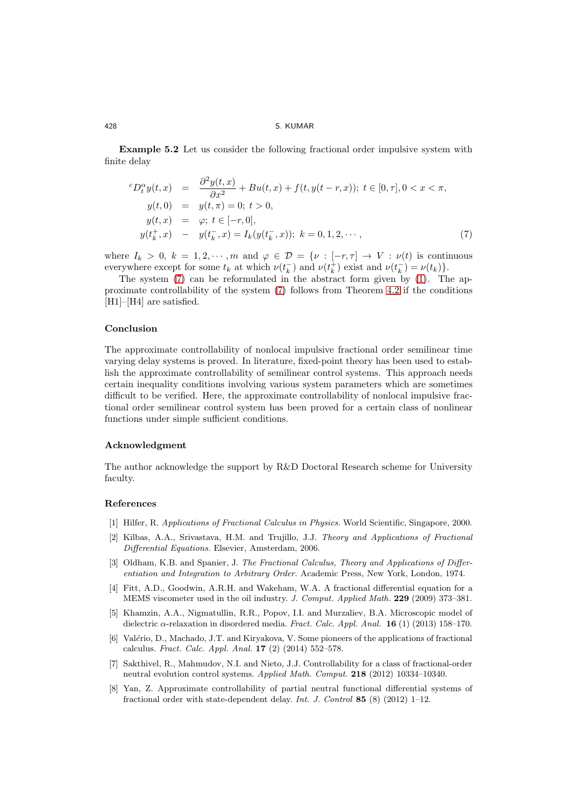Example 5.2 Let us consider the following fractional order impulsive system with finite delay

<span id="page-8-4"></span>
$$
{}^{c}D_{t}^{\alpha}y(t,x) = \frac{\partial^{2}y(t,x)}{\partial x^{2}} + Bu(t,x) + f(t,y(t-r,x)); \ t \in [0,\tau], 0 < x < \pi,
$$
  
\n
$$
y(t,0) = y(t,\pi) = 0; \ t > 0,
$$
  
\n
$$
y(t,x) = \varphi; \ t \in [-r,0],
$$
  
\n
$$
y(t_{k}^{+},x) - y(t_{k}^{-},x) = I_{k}(y(t_{k}^{-},x)); \ k = 0,1,2,\cdots,
$$
\n(7)

where  $I_k > 0$ ,  $k = 1, 2, \dots, m$  and  $\varphi \in \mathcal{D} = \{ \nu : [-r, \tau] \to V : \nu(t) \text{ is continuous} \}$ everywhere except for some  $t_k$  at which  $\nu(t_k^-)$  and  $\nu(t_k^+)$  exist and  $\nu(t_k^-) = \nu(t_k)$ .

The system [\(7\)](#page-8-4) can be reformulated in the abstract form given by [\(1\)](#page-2-1). The approximate controllability of the system [\(7\)](#page-8-4) follows from Theorem [4.2](#page-6-0) if the conditions [H<sub>1</sub>]–[H<sub>4</sub>] are satisfied.

## Conclusion

The approximate controllability of nonlocal impulsive fractional order semilinear time varying delay systems is proved. In literature, fixed-point theory has been used to establish the approximate controllability of semilinear control systems. This approach needs certain inequality conditions involving various system parameters which are sometimes difficult to be verified. Here, the approximate controllability of nonlocal impulsive fractional order semilinear control system has been proved for a certain class of nonlinear functions under simple sufficient conditions.

## Acknowledgment

The author acknowledge the support by R&D Doctoral Research scheme for University faculty.

## <span id="page-8-1"></span><span id="page-8-0"></span>References

- [1] Hilfer, R. Applications of Fractional Calculus in Physics. World Scientific, Singapore, 2000.
- [2] Kilbas, A.A., Srivastava, H.M. and Trujillo, J.J. Theory and Applications of Fractional Differential Equations. Elsevier, Amsterdam, 2006.
- [3] Oldham, K.B. and Spanier, J. The Fractional Calculus, Theory and Applications of Differentiation and Integration to Arbitrary Order. Academic Press, New York, London, 1974.
- [4] Fitt, A.D., Goodwin, A.R.H. and Wakeham, W.A. A fractional differential equation for a MEMS viscometer used in the oil industry. J. Comput. Applied Math. 229 (2009) 373–381.
- [5] Khamzin, A.A., Nigmatullin, R.R., Popov, I.I. and Murzaliev, B.A. Microscopic model of dielectric  $\alpha$ -relaxation in disordered media. Fract. Calc. Appl. Anal. **16** (1) (2013) 158–170.
- <span id="page-8-2"></span>[6] Valério, D., Machado, J.T. and Kiryakova, V. Some pioneers of the applications of fractional calculus. Fract. Calc. Appl. Anal. 17 (2) (2014) 552–578.
- <span id="page-8-3"></span>[7] Sakthivel, R., Mahmudov, N.I. and Nieto, J.J. Controllability for a class of fractional-order neutral evolution control systems. Applied Math. Comput. 218 (2012) 10334–10340.
- [8] Yan, Z. Approximate controllability of partial neutral functional differential systems of fractional order with state-dependent delay. Int. J. Control 85  $(8)$   $(2012)$  1-12.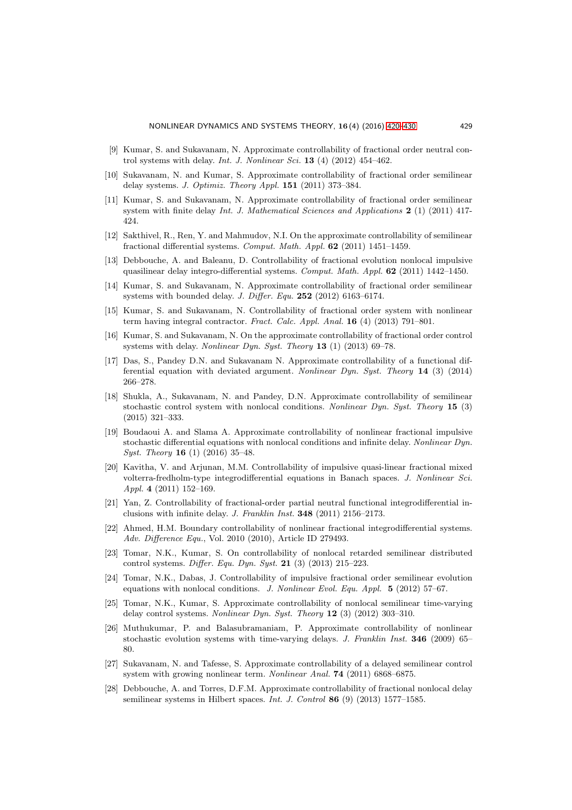- [9] Kumar, S. and Sukavanam, N. Approximate controllability of fractional order neutral control systems with delay. Int. J. Nonlinear Sci.  $13(4)(2012)$  454–462.
- [10] Sukavanam, N. and Kumar, S. Approximate controllability of fractional order semilinear delay systems. J. Optimiz. Theory Appl. 151 (2011) 373–384.
- [11] Kumar, S. and Sukavanam, N. Approximate controllability of fractional order semilinear system with finite delay Int. J. Mathematical Sciences and Applications  $2(1)(2011)$  417-424.
- [12] Sakthivel, R., Ren, Y. and Mahmudov, N.I. On the approximate controllability of semilinear fractional differential systems. Comput. Math. Appl. 62 (2011) 1451–1459.
- [13] Debbouche, A. and Baleanu, D. Controllability of fractional evolution nonlocal impulsive quasilinear delay integro-differential systems. Comput. Math. Appl. 62 (2011) 1442–1450.
- <span id="page-9-5"></span>[14] Kumar, S. and Sukavanam, N. Approximate controllability of fractional order semilinear systems with bounded delay. J. Differ. Equ.  $252$  (2012) 6163-6174.
- [15] Kumar, S. and Sukavanam, N. Controllability of fractional order system with nonlinear term having integral contractor. Fract. Calc. Appl. Anal. 16 (4) (2013) 791–801.
- [16] Kumar, S. and Sukavanam, N. On the approximate controllability of fractional order control systems with delay. Nonlinear Dyn. Syst. Theory 13 (1) (2013) 69–78.
- [17] Das, S., Pandey D.N. and Sukavanam N. Approximate controllability of a functional differential equation with deviated argument. Nonlinear Dyn. Syst. Theory 14 (3) (2014) 266–278.
- [18] Shukla, A., Sukavanam, N. and Pandey, D.N. Approximate controllability of semilinear stochastic control system with nonlocal conditions. Nonlinear Dyn. Syst. Theory 15 (3) (2015) 321–333.
- <span id="page-9-0"></span>[19] Boudaoui A. and Slama A. Approximate controllability of nonlinear fractional impulsive stochastic differential equations with nonlocal conditions and infinite delay. Nonlinear Dyn. *Syst. Theory* **16** (1) (2016) 35–48.
- <span id="page-9-1"></span>[20] Kavitha, V. and Arjunan, M.M. Controllability of impulsive quasi-linear fractional mixed volterra-fredholm-type integrodifferential equations in Banach spaces. J. Nonlinear Sci. Appl. 4 (2011) 152–169.
- [21] Yan, Z. Controllability of fractional-order partial neutral functional integrodifferential inclusions with infinite delay. J. Franklin Inst. 348 (2011) 2156–2173.
- [22] Ahmed, H.M. Boundary controllability of nonlinear fractional integrodifferential systems. Adv. Difference Equ., Vol. 2010 (2010), Article ID 279493.
- [23] Tomar, N.K., Kumar, S. On controllability of nonlocal retarded semilinear distributed control systems. Differ. Equ. Dyn. Syst. 21 (3) (2013) 215–223.
- <span id="page-9-2"></span>[24] Tomar, N.K., Dabas, J. Controllability of impulsive fractional order semilinear evolution equations with nonlocal conditions. J. Nonlinear Evol. Equ. Appl.  $5$  (2012) 57–67.
- <span id="page-9-3"></span>[25] Tomar, N.K., Kumar, S. Approximate controllability of nonlocal semilinear time-varying delay control systems. Nonlinear Dyn. Syst. Theory 12 (3) (2012) 303–310.
- <span id="page-9-4"></span>[26] Muthukumar, P. and Balasubramaniam, P. Approximate controllability of nonlinear stochastic evolution systems with time-varying delays. J. Franklin Inst. 346 (2009) 65– 80.
- <span id="page-9-6"></span>[27] Sukavanam, N. and Tafesse, S. Approximate controllability of a delayed semilinear control system with growing nonlinear term. Nonlinear Anal. 74 (2011) 6868-6875.
- <span id="page-9-7"></span>[28] Debbouche, A. and Torres, D.F.M. Approximate controllability of fractional nonlocal delay semilinear systems in Hilbert spaces. Int. J. Control 86 (9) (2013) 1577-1585.